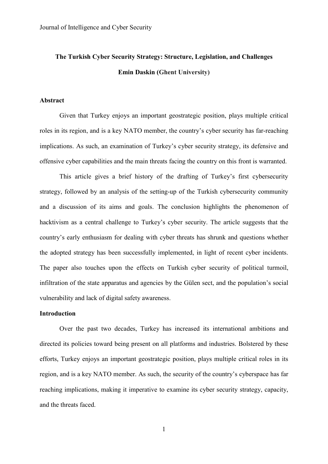# **The Turkish Cyber Security Strategy: Structure, Legislation, and Challenges Emin Daskin (Ghent University)**

## **Abstract**

Given that Turkey enjoys an important geostrategic position, plays multiple critical roles in its region, and is a key NATO member, the country's cyber security has far-reaching implications. As such, an examination of Turkey's cyber security strategy, its defensive and offensive cyber capabilities and the main threats facing the country on this front is warranted.

This article gives a brief history of the drafting of Turkey's first cybersecurity strategy, followed by an analysis of the setting-up of the Turkish cybersecurity community and a discussion of its aims and goals. The conclusion highlights the phenomenon of hacktivism as a central challenge to Turkey's cyber security. The article suggests that the country's early enthusiasm for dealing with cyber threats has shrunk and questions whether the adopted strategy has been successfully implemented, in light of recent cyber incidents. The paper also touches upon the effects on Turkish cyber security of political turmoil, infiltration of the state apparatus and agencies by the Gülen sect, and the population's social vulnerability and lack of digital safety awareness.

## **Introduction**

Over the past two decades, Turkey has increased its international ambitions and directed its policies toward being present on all platforms and industries. Bolstered by these efforts, Turkey enjoys an important geostrategic position, plays multiple critical roles in its region, and is a key NATO member. As such, the security of the country's cyberspace has far reaching implications, making it imperative to examine its cyber security strategy, capacity, and the threats faced.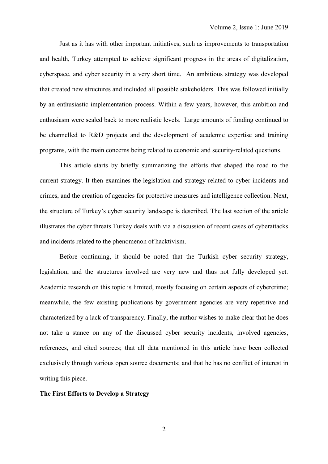Just as it has with other important initiatives, such as improvements to transportation and health, Turkey attempted to achieve significant progress in the areas of digitalization, cyberspace, and cyber security in a very short time. An ambitious strategy was developed that created new structures and included all possible stakeholders. This was followed initially by an enthusiastic implementation process. Within a few years, however, this ambition and enthusiasm were scaled back to more realistic levels. Large amounts of funding continued to be channelled to R&D projects and the development of academic expertise and training programs, with the main concerns being related to economic and security-related questions.

This article starts by briefly summarizing the efforts that shaped the road to the current strategy. It then examines the legislation and strategy related to cyber incidents and crimes, and the creation of agencies for protective measures and intelligence collection. Next, the structure of Turkey's cyber security landscape is described. The last section of the article illustrates the cyber threats Turkey deals with via a discussion of recent cases of cyberattacks and incidents related to the phenomenon of hacktivism.

Before continuing, it should be noted that the Turkish cyber security strategy, legislation, and the structures involved are very new and thus not fully developed yet. Academic research on this topic is limited, mostly focusing on certain aspects of cybercrime; meanwhile, the few existing publications by government agencies are very repetitive and characterized by a lack of transparency. Finally, the author wishes to make clear that he does not take a stance on any of the discussed cyber security incidents, involved agencies, references, and cited sources; that all data mentioned in this article have been collected exclusively through various open source documents; and that he has no conflict of interest in writing this piece.

#### **The First Efforts to Develop a Strategy**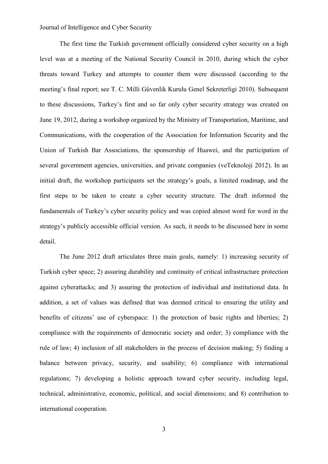The first time the Turkish government officially considered cyber security on a high level was at a meeting of the National Security Council in 2010, during which the cyber threats toward Turkey and attempts to counter them were discussed (according to the meeting's final report; see T. C. Milli Güvenlik Kurulu Genel Sekreterligi 2010). Subsequent to these discussions, Turkey's first and so far only cyber security strategy was created on June 19, 2012, during a workshop organized by the Ministry of Transportation, Maritime, and Communications, with the cooperation of the Association for Information Security and the Union of Turkish Bar Associations, the sponsorship of Huawei, and the participation of several government agencies, universities, and private companies (veTeknoloji 2012). In an initial draft, the workshop participants set the strategy's goals, a limited roadmap, and the first steps to be taken to create a cyber security structure. The draft informed the fundamentals of Turkey's cyber security policy and was copied almost word for word in the strategy's publicly accessible official version. As such, it needs to be discussed here in some detail.

The June 2012 draft articulates three main goals, namely: 1) increasing security of Turkish cyber space; 2) assuring durability and continuity of critical infrastructure protection against cyberattacks; and 3) assuring the protection of individual and institutional data. In addition, a set of values was defined that was deemed critical to ensuring the utility and benefits of citizens' use of cyberspace: 1) the protection of basic rights and liberties; 2) compliance with the requirements of democratic society and order; 3) compliance with the rule of law; 4) inclusion of all stakeholders in the process of decision making; 5) finding a balance between privacy, security, and usability; 6) compliance with international regulations; 7) developing a holistic approach toward cyber security, including legal, technical, administrative, economic, political, and social dimensions; and 8) contribution to international cooperation.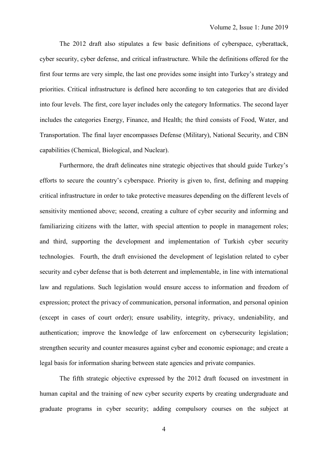The 2012 draft also stipulates a few basic definitions of cyberspace, cyberattack, cyber security, cyber defense, and critical infrastructure. While the definitions offered for the first four terms are very simple, the last one provides some insight into Turkey's strategy and priorities. Critical infrastructure is defined here according to ten categories that are divided into four levels. The first, core layer includes only the category Informatics. The second layer includes the categories Energy, Finance, and Health; the third consists of Food, Water, and Transportation. The final layer encompasses Defense (Military), National Security, and CBN capabilities (Chemical, Biological, and Nuclear).

Furthermore, the draft delineates nine strategic objectives that should guide Turkey's efforts to secure the country's cyberspace. Priority is given to, first, defining and mapping critical infrastructure in order to take protective measures depending on the different levels of sensitivity mentioned above; second, creating a culture of cyber security and informing and familiarizing citizens with the latter, with special attention to people in management roles; and third, supporting the development and implementation of Turkish cyber security technologies. Fourth, the draft envisioned the development of legislation related to cyber security and cyber defense that is both deterrent and implementable, in line with international law and regulations. Such legislation would ensure access to information and freedom of expression; protect the privacy of communication, personal information, and personal opinion (except in cases of court order); ensure usability, integrity, privacy, undeniability, and authentication; improve the knowledge of law enforcement on cybersecurity legislation; strengthen security and counter measures against cyber and economic espionage; and create a legal basis for information sharing between state agencies and private companies.

The fifth strategic objective expressed by the 2012 draft focused on investment in human capital and the training of new cyber security experts by creating undergraduate and graduate programs in cyber security; adding compulsory courses on the subject at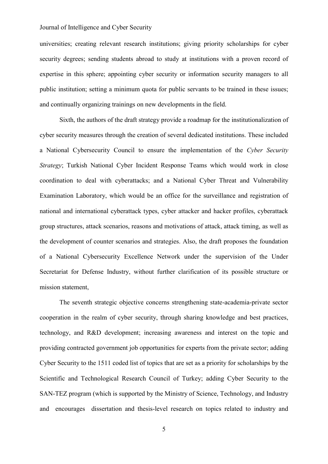universities; creating relevant research institutions; giving priority scholarships for cyber security degrees; sending students abroad to study at institutions with a proven record of expertise in this sphere; appointing cyber security or information security managers to all public institution; setting a minimum quota for public servants to be trained in these issues; and continually organizing trainings on new developments in the field.

Sixth, the authors of the draft strategy provide a roadmap for the institutionalization of cyber security measures through the creation of several dedicated institutions. These included a National Cybersecurity Council to ensure the implementation of the *Cyber Security Strategy*; Turkish National Cyber Incident Response Teams which would work in close coordination to deal with cyberattacks; and a National Cyber Threat and Vulnerability Examination Laboratory, which would be an office for the surveillance and registration of national and international cyberattack types, cyber attacker and hacker profiles, cyberattack group structures, attack scenarios, reasons and motivations of attack, attack timing, as well as the development of counter scenarios and strategies. Also, the draft proposes the foundation of a National Cybersecurity Excellence Network under the supervision of the Under Secretariat for Defense Industry, without further clarification of its possible structure or mission statement,

The seventh strategic objective concerns strengthening state-academia-private sector cooperation in the realm of cyber security, through sharing knowledge and best practices, technology, and R&D development; increasing awareness and interest on the topic and providing contracted government job opportunities for experts from the private sector; adding Cyber Security to the 1511 coded list of topics that are set as a priority for scholarships by the Scientific and Technological Research Council of Turkey; adding Cyber Security to the SAN-TEZ program (which is supported by the Ministry of Science, Technology, and Industry and encourages dissertation and thesis-level research on topics related to industry and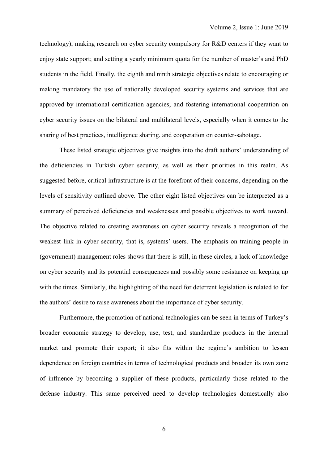technology); making research on cyber security compulsory for R&D centers if they want to enjoy state support; and setting a yearly minimum quota for the number of master's and PhD students in the field. Finally, the eighth and ninth strategic objectives relate to encouraging or making mandatory the use of nationally developed security systems and services that are approved by international certification agencies; and fostering international cooperation on cyber security issues on the bilateral and multilateral levels, especially when it comes to the sharing of best practices, intelligence sharing, and cooperation on counter-sabotage.

These listed strategic objectives give insights into the draft authors' understanding of the deficiencies in Turkish cyber security, as well as their priorities in this realm. As suggested before, critical infrastructure is at the forefront of their concerns, depending on the levels of sensitivity outlined above. The other eight listed objectives can be interpreted as a summary of perceived deficiencies and weaknesses and possible objectives to work toward. The objective related to creating awareness on cyber security reveals a recognition of the weakest link in cyber security, that is, systems' users. The emphasis on training people in (government) management roles shows that there is still, in these circles, a lack of knowledge on cyber security and its potential consequences and possibly some resistance on keeping up with the times. Similarly, the highlighting of the need for deterrent legislation is related to for the authors' desire to raise awareness about the importance of cyber security.

Furthermore, the promotion of national technologies can be seen in terms of Turkey's broader economic strategy to develop, use, test, and standardize products in the internal market and promote their export; it also fits within the regime's ambition to lessen dependence on foreign countries in terms of technological products and broaden its own zone of influence by becoming a supplier of these products, particularly those related to the defense industry. This same perceived need to develop technologies domestically also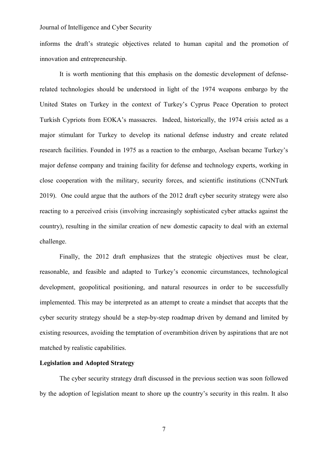informs the draft's strategic objectives related to human capital and the promotion of innovation and entrepreneurship.

It is worth mentioning that this emphasis on the domestic development of defenserelated technologies should be understood in light of the 1974 weapons embargo by the United States on Turkey in the context of Turkey's Cyprus Peace Operation to protect Turkish Cypriots from EOKA's massacres. Indeed, historically, the 1974 crisis acted as a major stimulant for Turkey to develop its national defense industry and create related research facilities. Founded in 1975 as a reaction to the embargo, Aselsan became Turkey's major defense company and training facility for defense and technology experts, working in close cooperation with the military, security forces, and scientific institutions (CNNTurk 2019). One could argue that the authors of the 2012 draft cyber security strategy were also reacting to a perceived crisis (involving increasingly sophisticated cyber attacks against the country), resulting in the similar creation of new domestic capacity to deal with an external challenge.

Finally, the 2012 draft emphasizes that the strategic objectives must be clear, reasonable, and feasible and adapted to Turkey's economic circumstances, technological development, geopolitical positioning, and natural resources in order to be successfully implemented. This may be interpreted as an attempt to create a mindset that accepts that the cyber security strategy should be a step-by-step roadmap driven by demand and limited by existing resources, avoiding the temptation of overambition driven by aspirations that are not matched by realistic capabilities.

## **Legislation and Adopted Strategy**

The cyber security strategy draft discussed in the previous section was soon followed by the adoption of legislation meant to shore up the country's security in this realm. It also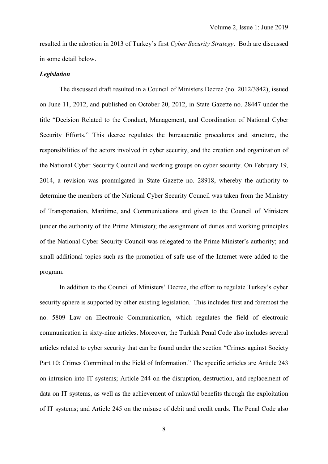resulted in the adoption in 2013 of Turkey's first *Cyber Security Strategy*. Both are discussed in some detail below.

#### *Legislation*

The discussed draft resulted in a Council of Ministers Decree (no. 2012/3842), issued on June 11, 2012, and published on October 20, 2012, in State Gazette no. 28447 under the title "Decision Related to the Conduct, Management, and Coordination of National Cyber Security Efforts." This decree regulates the bureaucratic procedures and structure, the responsibilities of the actors involved in cyber security, and the creation and organization of the National Cyber Security Council and working groups on cyber security. On February 19, 2014, a revision was promulgated in State Gazette no. 28918, whereby the authority to determine the members of the National Cyber Security Council was taken from the Ministry of Transportation, Maritime, and Communications and given to the Council of Ministers (under the authority of the Prime Minister); the assignment of duties and working principles of the National Cyber Security Council was relegated to the Prime Minister's authority; and small additional topics such as the promotion of safe use of the Internet were added to the program.

In addition to the Council of Ministers' Decree, the effort to regulate Turkey's cyber security sphere is supported by other existing legislation. This includes first and foremost the no. 5809 Law on Electronic Communication, which regulates the field of electronic communication in sixty-nine articles. Moreover, the Turkish Penal Code also includes several articles related to cyber security that can be found under the section "Crimes against Society Part 10: Crimes Committed in the Field of Information." The specific articles are Article 243 on intrusion into IT systems; Article 244 on the disruption, destruction, and replacement of data on IT systems, as well as the achievement of unlawful benefits through the exploitation of IT systems; and Article 245 on the misuse of debit and credit cards. The Penal Code also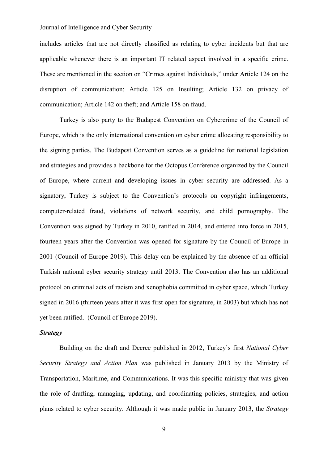includes articles that are not directly classified as relating to cyber incidents but that are applicable whenever there is an important IT related aspect involved in a specific crime. These are mentioned in the section on "Crimes against Individuals," under Article 124 on the disruption of communication; Article 125 on Insulting; Article 132 on privacy of communication; Article 142 on theft; and Article 158 on fraud.

Turkey is also party to the Budapest Convention on Cybercrime of the Council of Europe, which is the only international convention on cyber crime allocating responsibility to the signing parties. The Budapest Convention serves as a guideline for national legislation and strategies and provides a backbone for the Octopus Conference organized by the Council of Europe, where current and developing issues in cyber security are addressed. As a signatory, Turkey is subject to the Convention's protocols on copyright infringements, computer-related fraud, violations of network security, and child pornography. The Convention was signed by Turkey in 2010, ratified in 2014, and entered into force in 2015, fourteen years after the Convention was opened for signature by the Council of Europe in 2001 (Council of Europe 2019). This delay can be explained by the absence of an official Turkish national cyber security strategy until 2013. The Convention also has an additional protocol on criminal acts of racism and xenophobia committed in cyber space, which Turkey signed in 2016 (thirteen years after it was first open for signature, in 2003) but which has not yet been ratified. (Council of Europe 2019).

#### *Strategy*

Building on the draft and Decree published in 2012, Turkey's first *National Cyber Security Strategy and Action Plan* was published in January 2013 by the Ministry of Transportation, Maritime, and Communications. It was this specific ministry that was given the role of drafting, managing, updating, and coordinating policies, strategies, and action plans related to cyber security. Although it was made public in January 2013, the *Strategy*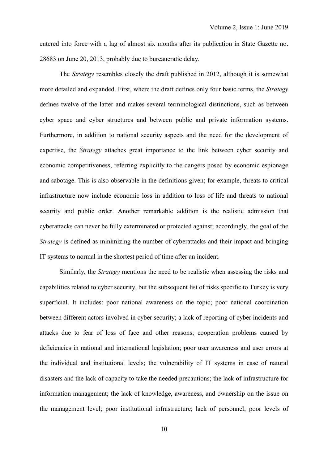entered into force with a lag of almost six months after its publication in State Gazette no. 28683 on June 20, 2013, probably due to bureaucratic delay.

The *Strategy* resembles closely the draft published in 2012, although it is somewhat more detailed and expanded. First, where the draft defines only four basic terms, the *Strategy*  defines twelve of the latter and makes several terminological distinctions, such as between cyber space and cyber structures and between public and private information systems. Furthermore, in addition to national security aspects and the need for the development of expertise, the *Strategy* attaches great importance to the link between cyber security and economic competitiveness, referring explicitly to the dangers posed by economic espionage and sabotage. This is also observable in the definitions given; for example, threats to critical infrastructure now include economic loss in addition to loss of life and threats to national security and public order. Another remarkable addition is the realistic admission that cyberattacks can never be fully exterminated or protected against; accordingly, the goal of the *Strategy* is defined as minimizing the number of cyberattacks and their impact and bringing IT systems to normal in the shortest period of time after an incident.

Similarly, the *Strategy* mentions the need to be realistic when assessing the risks and capabilities related to cyber security, but the subsequent list of risks specific to Turkey is very superficial. It includes: poor national awareness on the topic; poor national coordination between different actors involved in cyber security; a lack of reporting of cyber incidents and attacks due to fear of loss of face and other reasons; cooperation problems caused by deficiencies in national and international legislation; poor user awareness and user errors at the individual and institutional levels; the vulnerability of IT systems in case of natural disasters and the lack of capacity to take the needed precautions; the lack of infrastructure for information management; the lack of knowledge, awareness, and ownership on the issue on the management level; poor institutional infrastructure; lack of personnel; poor levels of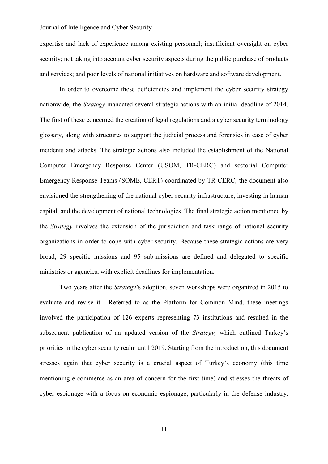expertise and lack of experience among existing personnel; insufficient oversight on cyber security; not taking into account cyber security aspects during the public purchase of products and services; and poor levels of national initiatives on hardware and software development.

In order to overcome these deficiencies and implement the cyber security strategy nationwide, the *Strategy* mandated several strategic actions with an initial deadline of 2014. The first of these concerned the creation of legal regulations and a cyber security terminology glossary, along with structures to support the judicial process and forensics in case of cyber incidents and attacks. The strategic actions also included the establishment of the National Computer Emergency Response Center (USOM, TR-CERC) and sectorial Computer Emergency Response Teams (SOME, CERT) coordinated by TR-CERC; the document also envisioned the strengthening of the national cyber security infrastructure, investing in human capital, and the development of national technologies. The final strategic action mentioned by the *Strategy* involves the extension of the jurisdiction and task range of national security organizations in order to cope with cyber security. Because these strategic actions are very broad, 29 specific missions and 95 sub-missions are defined and delegated to specific ministries or agencies, with explicit deadlines for implementation.

Two years after the *Strategy*'s adoption, seven workshops were organized in 2015 to evaluate and revise it. Referred to as the Platform for Common Mind, these meetings involved the participation of 126 experts representing 73 institutions and resulted in the subsequent publication of an updated version of the *Strategy,* which outlined Turkey's priorities in the cyber security realm until 2019. Starting from the introduction, this document stresses again that cyber security is a crucial aspect of Turkey's economy (this time mentioning e-commerce as an area of concern for the first time) and stresses the threats of cyber espionage with a focus on economic espionage, particularly in the defense industry.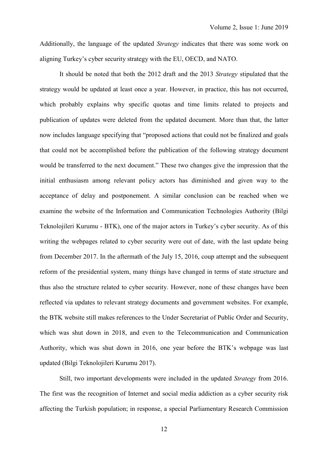Additionally, the language of the updated *Strategy* indicates that there was some work on aligning Turkey's cyber security strategy with the EU, OECD, and NATO.

It should be noted that both the 2012 draft and the 2013 *Strategy* stipulated that the strategy would be updated at least once a year. However, in practice, this has not occurred, which probably explains why specific quotas and time limits related to projects and publication of updates were deleted from the updated document. More than that, the latter now includes language specifying that "proposed actions that could not be finalized and goals that could not be accomplished before the publication of the following strategy document would be transferred to the next document." These two changes give the impression that the initial enthusiasm among relevant policy actors has diminished and given way to the acceptance of delay and postponement. A similar conclusion can be reached when we examine the website of the Information and Communication Technologies Authority (Bilgi Teknolojileri Kurumu - BTK), one of the major actors in Turkey's cyber security. As of this writing the webpages related to cyber security were out of date, with the last update being from December 2017. In the aftermath of the July 15, 2016, coup attempt and the subsequent reform of the presidential system, many things have changed in terms of state structure and thus also the structure related to cyber security. However, none of these changes have been reflected via updates to relevant strategy documents and government websites. For example, the BTK website still makes references to the Under Secretariat of Public Order and Security, which was shut down in 2018, and even to the Telecommunication and Communication Authority, which was shut down in 2016, one year before the BTK's webpage was last updated (Bilgi Teknolojileri Kurumu 2017).

Still, two important developments were included in the updated *Strategy* from 2016. The first was the recognition of Internet and social media addiction as a cyber security risk affecting the Turkish population; in response, a special Parliamentary Research Commission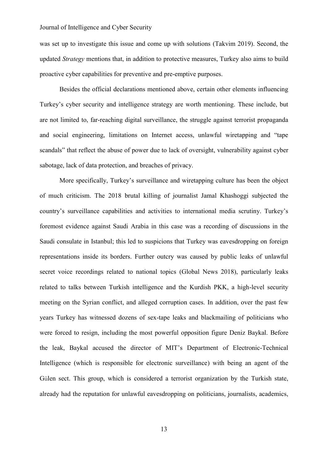was set up to investigate this issue and come up with solutions (Takvim 2019). Second, the updated *Strategy* mentions that, in addition to protective measures, Turkey also aims to build proactive cyber capabilities for preventive and pre-emptive purposes.

Besides the official declarations mentioned above, certain other elements influencing Turkey's cyber security and intelligence strategy are worth mentioning. These include, but are not limited to, far-reaching digital surveillance, the struggle against terrorist propaganda and social engineering, limitations on Internet access, unlawful wiretapping and "tape scandals" that reflect the abuse of power due to lack of oversight, vulnerability against cyber sabotage, lack of data protection, and breaches of privacy.

More specifically, Turkey's surveillance and wiretapping culture has been the object of much criticism. The 2018 brutal killing of journalist Jamal Khashoggi subjected the country's surveillance capabilities and activities to international media scrutiny. Turkey's foremost evidence against Saudi Arabia in this case was a recording of discussions in the Saudi consulate in Istanbul; this led to suspicions that Turkey was eavesdropping on foreign representations inside its borders. Further outcry was caused by public leaks of unlawful secret voice recordings related to national topics (Global News 2018), particularly leaks related to talks between Turkish intelligence and the Kurdish PKK, a high-level security meeting on the Syrian conflict, and alleged corruption cases. In addition, over the past few years Turkey has witnessed dozens of sex-tape leaks and blackmailing of politicians who were forced to resign, including the most powerful opposition figure Deniz Baykal. Before the leak, Baykal accused the director of MIT's Department of Electronic-Technical Intelligence (which is responsible for electronic surveillance) with being an agent of the Gülen sect. This group, which is considered a terrorist organization by the Turkish state, already had the reputation for unlawful eavesdropping on politicians, journalists, academics,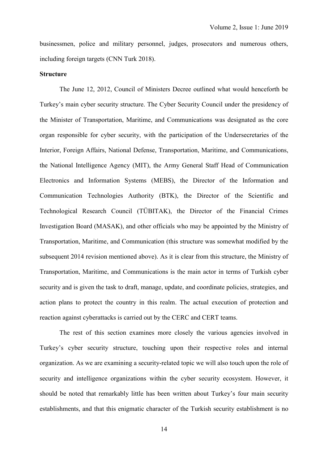businessmen, police and military personnel, judges, prosecutors and numerous others, including foreign targets (CNN Turk 2018).

#### **Structure**

The June 12, 2012, Council of Ministers Decree outlined what would henceforth be Turkey's main cyber security structure. The Cyber Security Council under the presidency of the Minister of Transportation, Maritime, and Communications was designated as the core organ responsible for cyber security, with the participation of the Undersecretaries of the Interior, Foreign Affairs, National Defense, Transportation, Maritime, and Communications, the National Intelligence Agency (MIT), the Army General Staff Head of Communication Electronics and Information Systems (MEBS), the Director of the Information and Communication Technologies Authority (BTK), the Director of the Scientific and Technological Research Council (TÜBITAK), the Director of the Financial Crimes Investigation Board (MASAK), and other officials who may be appointed by the Ministry of Transportation, Maritime, and Communication (this structure was somewhat modified by the subsequent 2014 revision mentioned above). As it is clear from this structure, the Ministry of Transportation, Maritime, and Communications is the main actor in terms of Turkish cyber security and is given the task to draft, manage, update, and coordinate policies, strategies, and action plans to protect the country in this realm. The actual execution of protection and reaction against cyberattacks is carried out by the CERC and CERT teams.

The rest of this section examines more closely the various agencies involved in Turkey's cyber security structure, touching upon their respective roles and internal organization. As we are examining a security-related topic we will also touch upon the role of security and intelligence organizations within the cyber security ecosystem. However, it should be noted that remarkably little has been written about Turkey's four main security establishments, and that this enigmatic character of the Turkish security establishment is no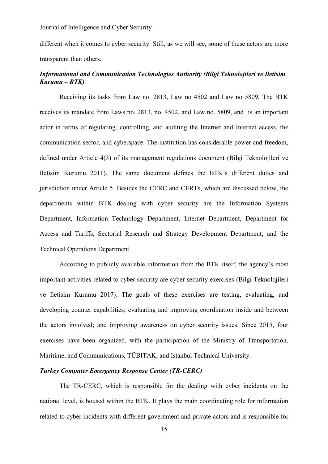different when it comes to cyber security. Still, as we will see, some of these actors are more transparent than others.

# *Informational and Communication Technologies Authority (Bilgi Teknolojileri ve Iletisim Kurumu – BTK)*

Receiving its tasks from Law no. 2813, Law no 4502 and Law no 5809, The BTK receives its mandate from Laws no. 2813, no. 4502, and Law no. 5809, and is an important actor in terms of regulating, controlling, and auditing the Internet and Internet access, the communication sector, and cyberspace. The institution has considerable power and freedom, defined under Article 4(3) of its management regulations document (Bilgi Teknolojileri ve Iletisim Kurumu 2011). The same document defines the BTK's different duties and jurisdiction under Article 5. Besides the CERC and CERTs, which are discussed below, the departments within BTK dealing with cyber security are the Information Systems Department, Information Technology Department, Internet Department, Department for Access and Tariffs, Sectorial Research and Strategy Development Department, and the Technical Operations Department.

According to publicly available information from the BTK itself, the agency's most important activities related to cyber security are cyber security exercises (Bilgi Teknolojileri ve Iletisim Kurumu 2017). The goals of these exercises are testing, evaluating, and developing counter capabilities; evaluating and improving coordination inside and between the actors involved; and improving awareness on cyber security issues. Since 2015, four exercises have been organized, with the participation of the Ministry of Transportation, Maritime, and Communications, TÜBITAK, and Istanbul Technical University.

# *Turkey Computer Emergency Response Center (TR-CERC)*

The TR-CERC, which is responsible for the dealing with cyber incidents on the national level, is housed within the BTK. It plays the main coordinating role for information related to cyber incidents with different government and private actors and is responsible for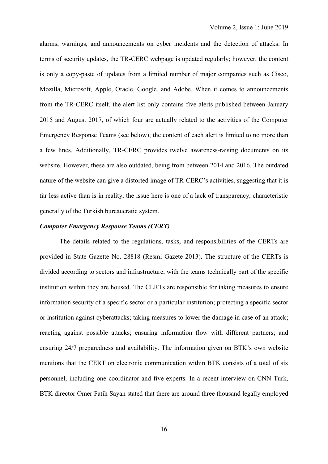alarms, warnings, and announcements on cyber incidents and the detection of attacks. In terms of security updates, the TR-CERC webpage is updated regularly; however, the content is only a copy-paste of updates from a limited number of major companies such as Cisco, Mozilla, Microsoft, Apple, Oracle, Google, and Adobe. When it comes to announcements from the TR-CERC itself, the alert list only contains five alerts published between January 2015 and August 2017, of which four are actually related to the activities of the Computer Emergency Response Teams (see below); the content of each alert is limited to no more than a few lines. Additionally, TR-CERC provides twelve awareness-raising documents on its website. However, these are also outdated, being from between 2014 and 2016. The outdated nature of the website can give a distorted image of TR-CERC's activities, suggesting that it is far less active than is in reality; the issue here is one of a lack of transparency, characteristic generally of the Turkish bureaucratic system.

## *Computer Emergency Response Teams (CERT)*

The details related to the regulations, tasks, and responsibilities of the CERTs are provided in State Gazette No. 28818 (Resmi Gazete 2013). The structure of the CERTs is divided according to sectors and infrastructure, with the teams technically part of the specific institution within they are housed. The CERTs are responsible for taking measures to ensure information security of a specific sector or a particular institution; protecting a specific sector or institution against cyberattacks; taking measures to lower the damage in case of an attack; reacting against possible attacks; ensuring information flow with different partners; and ensuring 24/7 preparedness and availability. The information given on BTK's own website mentions that the CERT on electronic communication within BTK consists of a total of six personnel, including one coordinator and five experts. In a recent interview on CNN Turk, BTK director Omer Fatih Sayan stated that there are around three thousand legally employed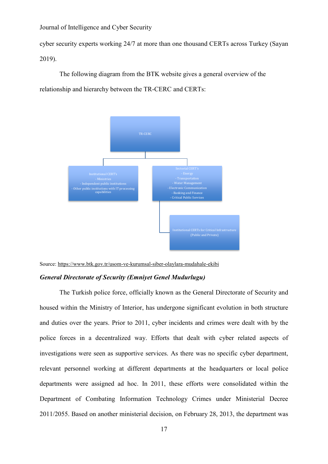cyber security experts working 24/7 at more than one thousand CERTs across Turkey (Sayan 2019).

The following diagram from the BTK website gives a general overview of the relationship and hierarchy between the TR-CERC and CERTs:



Source:<https://www.btk.gov.tr/usom-ve-kurumsal-siber-olaylara-mudahale-ekibi>

#### *General Directorate of Security (Emniyet Genel Mudurlugu)*

The Turkish police force, officially known as the General Directorate of Security and housed within the Ministry of Interior, has undergone significant evolution in both structure and duties over the years. Prior to 2011, cyber incidents and crimes were dealt with by the police forces in a decentralized way. Efforts that dealt with cyber related aspects of investigations were seen as supportive services. As there was no specific cyber department, relevant personnel working at different departments at the headquarters or local police departments were assigned ad hoc. In 2011, these efforts were consolidated within the Department of Combating Information Technology Crimes under Ministerial Decree 2011/2055. Based on another ministerial decision, on February 28, 2013, the department was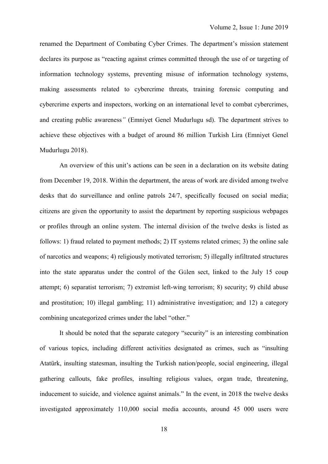renamed the Department of Combating Cyber Crimes. The department's mission statement declares its purpose as "reacting against crimes committed through the use of or targeting of information technology systems, preventing misuse of information technology systems, making assessments related to cybercrime threats, training forensic computing and cybercrime experts and inspectors, working on an international level to combat cybercrimes, and creating public awareness*"* (Emniyet Genel Mudurlugu sd). The department strives to achieve these objectives with a budget of around 86 million Turkish Lira (Emniyet Genel Mudurlugu 2018).

An overview of this unit's actions can be seen in a declaration on its website dating from December 19, 2018. Within the department, the areas of work are divided among twelve desks that do surveillance and online patrols 24/7, specifically focused on social media; citizens are given the opportunity to assist the department by reporting suspicious webpages or profiles through an online system. The internal division of the twelve desks is listed as follows: 1) fraud related to payment methods; 2) IT systems related crimes; 3) the online sale of narcotics and weapons; 4) religiously motivated terrorism; 5) illegally infiltrated structures into the state apparatus under the control of the Gülen sect, linked to the July 15 coup attempt; 6) separatist terrorism; 7) extremist left-wing terrorism; 8) security; 9) child abuse and prostitution; 10) illegal gambling; 11) administrative investigation; and 12) a category combining uncategorized crimes under the label "other."

It should be noted that the separate category "security" is an interesting combination of various topics, including different activities designated as crimes, such as "insulting Atatürk, insulting statesman, insulting the Turkish nation/people, social engineering, illegal gathering callouts, fake profiles, insulting religious values, organ trade, threatening, inducement to suicide, and violence against animals." In the event, in 2018 the twelve desks investigated approximately 110,000 social media accounts, around 45 000 users were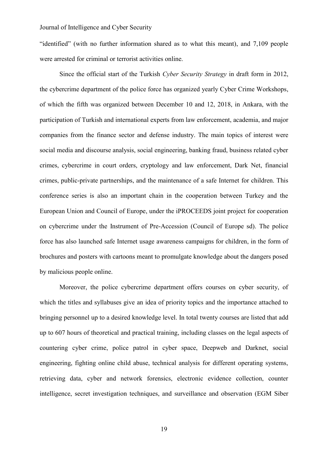"identified" (with no further information shared as to what this meant), and 7,109 people were arrested for criminal or terrorist activities online.

Since the official start of the Turkish *Cyber Security Strategy* in draft form in 2012, the cybercrime department of the police force has organized yearly Cyber Crime Workshops, of which the fifth was organized between December 10 and 12, 2018, in Ankara, with the participation of Turkish and international experts from law enforcement, academia, and major companies from the finance sector and defense industry. The main topics of interest were social media and discourse analysis, social engineering, banking fraud, business related cyber crimes, cybercrime in court orders, cryptology and law enforcement, Dark Net, financial crimes, public-private partnerships, and the maintenance of a safe Internet for children. This conference series is also an important chain in the cooperation between Turkey and the European Union and Council of Europe, under the iPROCEEDS joint project for cooperation on cybercrime under the Instrument of Pre-Accession (Council of Europe sd). The police force has also launched safe Internet usage awareness campaigns for children, in the form of brochures and posters with cartoons meant to promulgate knowledge about the dangers posed by malicious people online.

Moreover, the police cybercrime department offers courses on cyber security, of which the titles and syllabuses give an idea of priority topics and the importance attached to bringing personnel up to a desired knowledge level. In total twenty courses are listed that add up to 607 hours of theoretical and practical training, including classes on the legal aspects of countering cyber crime, police patrol in cyber space, Deepweb and Darknet, social engineering, fighting online child abuse, technical analysis for different operating systems, retrieving data, cyber and network forensics, electronic evidence collection, counter intelligence, secret investigation techniques, and surveillance and observation (EGM Siber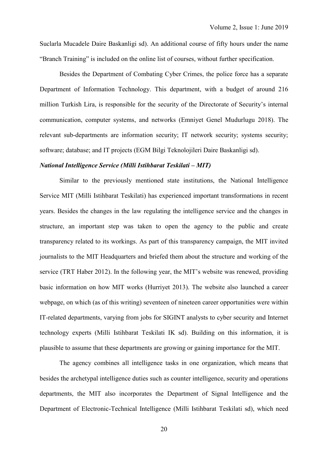Suclarla Mucadele Daire Baskanligi sd). An additional course of fifty hours under the name "Branch Training" is included on the online list of courses, without further specification.

Besides the Department of Combating Cyber Crimes, the police force has a separate Department of Information Technology. This department, with a budget of around 216 million Turkish Lira, is responsible for the security of the Directorate of Security's internal communication, computer systems, and networks (Emniyet Genel Mudurlugu 2018). The relevant sub-departments are information security; IT network security; systems security; software; database; and IT projects (EGM Bilgi Teknolojileri Daire Baskanligi sd).

## *National Intelligence Service (Milli Istihbarat Teskilati – MIT)*

Similar to the previously mentioned state institutions, the National Intelligence Service MIT (Milli Istihbarat Teskilati) has experienced important transformations in recent years. Besides the changes in the law regulating the intelligence service and the changes in structure, an important step was taken to open the agency to the public and create transparency related to its workings. As part of this transparency campaign, the MIT invited journalists to the MIT Headquarters and briefed them about the structure and working of the service (TRT Haber 2012). In the following year, the MIT's website was renewed, providing basic information on how MIT works (Hurriyet 2013). The website also launched a career webpage, on which (as of this writing) seventeen of nineteen career opportunities were within IT-related departments, varying from jobs for SIGINT analysts to cyber security and Internet technology experts (Milli Istihbarat Teskilati IK sd). Building on this information, it is plausible to assume that these departments are growing or gaining importance for the MIT.

The agency combines all intelligence tasks in one organization, which means that besides the archetypal intelligence duties such as counter intelligence, security and operations departments, the MIT also incorporates the Department of Signal Intelligence and the Department of Electronic-Technical Intelligence (Milli Istihbarat Teskilati sd), which need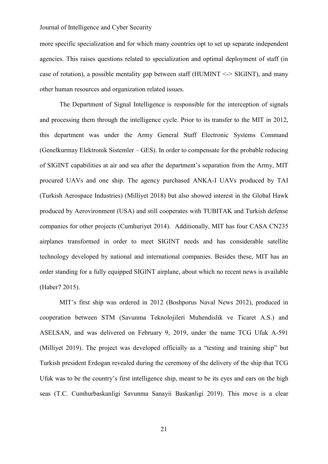more specific specialization and for which many countries opt to set up separate independent agencies. This raises questions related to specialization and optimal deployment of staff (in case of rotation), a possible mentality gap between staff (HUMINT  $\le$  > SIGINT), and many other human resources and organization related issues.

The Department of Signal Intelligence is responsible for the interception of signals and processing them through the intelligence cycle. Prior to its transfer to the MIT in 2012, this department was under the Army General Staff Electronic Systems Command (Genelkurmay Elektronik Sistemler – GES). In order to compensate for the probable reducing of SIGINT capabilities at air and sea after the department's separation from the Army, MIT procured UAVs and one ship. The agency purchased ANKA-I UAVs produced by TAI (Turkish Aerospace Industries) (Milliyet 2018) but also showed interest in the Global Hawk produced by Aerovironment (USA) and still cooperates with TUBITAK and Turkish defense companies for other projects (Cumhuriyet 2014). Additionally, MIT has four CASA CN235 airplanes transformed in order to meet SIGINT needs and has considerable satellite technology developed by national and international companies. Besides these, MIT has an order standing for a fully equipped SIGINT airplane, about which no recent news is available (Haber7 2015).

MIT's first ship was ordered in 2012 (Boshporus Naval News 2012), produced in cooperation between STM (Savunma Teknolojileri Muhendislik ve Ticaret A.S.) and ASELSAN, and was delivered on February 9, 2019, under the name TCG Ufuk A-591 (Milliyet 2019). The project was developed officially as a "testing and training ship" but Turkish president Erdogan revealed during the ceremony of the delivery of the ship that TCG Ufuk was to be the country's first intelligence ship, meant to be its eyes and ears on the high seas (T.C. Cumhurbaskanligi Savunma Sanayii Baskanligi 2019). This move is a clear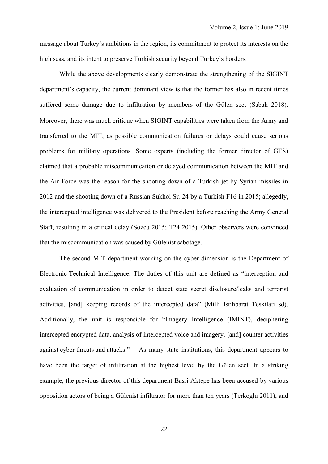message about Turkey's ambitions in the region, its commitment to protect its interests on the high seas, and its intent to preserve Turkish security beyond Turkey's borders.

While the above developments clearly demonstrate the strengthening of the SIGINT department's capacity, the current dominant view is that the former has also in recent times suffered some damage due to infiltration by members of the Gülen sect (Sabah 2018). Moreover, there was much critique when SIGINT capabilities were taken from the Army and transferred to the MIT, as possible communication failures or delays could cause serious problems for military operations. Some experts (including the former director of GES) claimed that a probable miscommunication or delayed communication between the MIT and the Air Force was the reason for the shooting down of a Turkish jet by Syrian missiles in 2012 and the shooting down of a Russian Sukhoi Su-24 by a Turkish F16 in 2015; allegedly, the intercepted intelligence was delivered to the President before reaching the Army General Staff, resulting in a critical delay (Sozcu 2015; T24 2015). Other observers were convinced that the miscommunication was caused by Gülenist sabotage.

The second MIT department working on the cyber dimension is the Department of Electronic-Technical Intelligence. The duties of this unit are defined as "interception and evaluation of communication in order to detect state secret disclosure/leaks and terrorist activities, [and] keeping records of the intercepted data" (Milli Istihbarat Teskilati sd). Additionally, the unit is responsible for "Imagery Intelligence (IMINT), deciphering intercepted encrypted data, analysis of intercepted voice and imagery, [and] counter activities against cyber threats and attacks." As many state institutions, this department appears to have been the target of infiltration at the highest level by the Gülen sect. In a striking example, the previous director of this department Basri Aktepe has been accused by various opposition actors of being a Gülenist infiltrator for more than ten years (Terkoglu 2011), and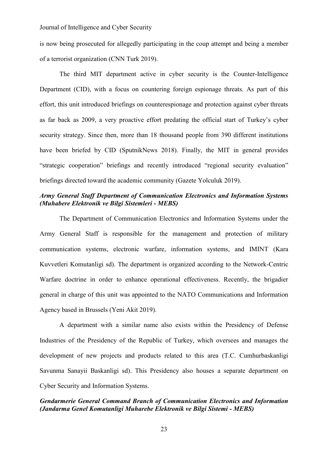is now being prosecuted for allegedly participating in the coup attempt and being a member of a terrorist organization (CNN Turk 2019).

The third MIT department active in cyber security is the Counter-Intelligence Department (CID), with a focus on countering foreign espionage threats. As part of this effort, this unit introduced briefings on counterespionage and protection against cyber threats as far back as 2009, a very proactive effort predating the official start of Turkey's cyber security strategy. Since then, more than 18 thousand people from 390 different institutions have been briefed by CID (SputnikNews 2018). Finally, the MIT in general provides "strategic cooperation" briefings and recently introduced "regional security evaluation" briefings directed toward the academic community (Gazete Yolculuk 2019).

# *Army General Staff Department of Communication Electronics and Information Systems (Muhabere Elektronik ve Bilgi Sistemleri - MEBS)*

The Department of Communication Electronics and Information Systems under the Army General Staff is responsible for the management and protection of military communication systems, electronic warfare, information systems, and IMINT (Kara Kuvvetleri Komutanligi sd). The department is organized according to the Network-Centric Warfare doctrine in order to enhance operational effectiveness. Recently, the brigadier general in charge of this unit was appointed to the NATO Communications and Information Agency based in Brussels (Yeni Akit 2019).

A department with a similar name also exists within the Presidency of Defense Industries of the Presidency of the Republic of Turkey, which oversees and manages the development of new projects and products related to this area (T.C. Cumhurbaskanligi Savunma Sanayii Baskanligi sd). This Presidency also houses a separate department on Cyber Security and Information Systems.

# *Gendarmerie General Command Branch of Communication Electronics and Information (Jandarma Genel Komutanligi Muharebe Elektronik ve Bilgi Sistemi - MEBS)*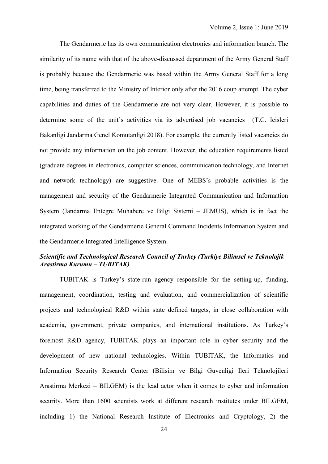The Gendarmerie has its own communication electronics and information branch. The similarity of its name with that of the above-discussed department of the Army General Staff is probably because the Gendarmerie was based within the Army General Staff for a long time, being transferred to the Ministry of Interior only after the 2016 coup attempt. The cyber capabilities and duties of the Gendarmerie are not very clear. However, it is possible to determine some of the unit's activities via its advertised job vacancies (T.C. Icisleri Bakanligi Jandarma Genel Komutanligi 2018). For example, the currently listed vacancies do not provide any information on the job content. However, the education requirements listed (graduate degrees in electronics, computer sciences, communication technology, and Internet and network technology) are suggestive. One of MEBS's probable activities is the management and security of the Gendarmerie Integrated Communication and Information System (Jandarma Entegre Muhabere ve Bilgi Sistemi – JEMUS), which is in fact the integrated working of the Gendarmerie General Command Incidents Information System and the Gendarmerie Integrated Intelligence System.

# *Scientific and Technological Research Council of Turkey (Turkiye Bilimsel ve Teknolojik Arastirma Kurumu – TUBITAK)*

TUBITAK is Turkey's state-run agency responsible for the setting-up, funding, management, coordination, testing and evaluation, and commercialization of scientific projects and technological R&D within state defined targets, in close collaboration with academia, government, private companies, and international institutions. As Turkey's foremost R&D agency, TUBITAK plays an important role in cyber security and the development of new national technologies. Within TUBITAK, the Informatics and Information Security Research Center (Bilisim ve Bilgi Guvenligi Ileri Teknolojileri Arastirma Merkezi – BILGEM) is the lead actor when it comes to cyber and information security. More than 1600 scientists work at different research institutes under BILGEM, including 1) the National Research Institute of Electronics and Cryptology, 2) the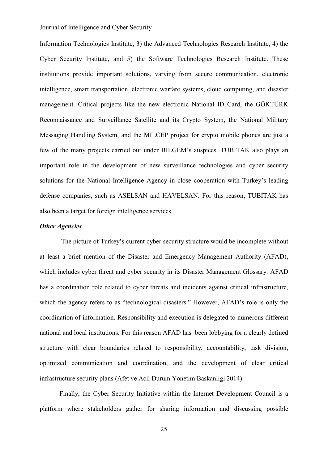Information Technologies Institute, 3) the Advanced Technologies Research Institute, 4) the Cyber Security Institute, and 5) the Software Technologies Research Institute. These institutions provide important solutions, varying from secure communication, electronic intelligence, smart transportation, electronic warfare systems, cloud computing, and disaster management. Critical projects like the new electronic National ID Card, the GÖKTÜRK Reconnaissance and Surveillance Satellite and its Crypto System, the National Military Messaging Handling System, and the MILCEP project for crypto mobile phones are just a few of the many projects carried out under BILGEM's auspices. TUBITAK also plays an important role in the development of new surveillance technologies and cyber security solutions for the National Intelligence Agency in close cooperation with Turkey's leading defense companies, such as ASELSAN and HAVELSAN. For this reason, TUBITAK has also been a target for foreign intelligence services.

## *Other Agencies*

The picture of Turkey's current cyber security structure would be incomplete without at least a brief mention of the Disaster and Emergency Management Authority (AFAD), which includes cyber threat and cyber security in its Disaster Management Glossary. AFAD has a coordination role related to cyber threats and incidents against critical infrastructure, which the agency refers to as "technological disasters." However, AFAD's role is only the coordination of information. Responsibility and execution is delegated to numerous different national and local institutions. For this reason AFAD has been lobbying for a clearly defined structure with clear boundaries related to responsibility, accountability, task division, optimized communication and coordination, and the development of clear critical infrastructure security plans (Afet ve Acil Durum Yonetim Baskanligi 2014).

Finally, the Cyber Security Initiative within the Internet Development Council is a platform where stakeholders gather for sharing information and discussing possible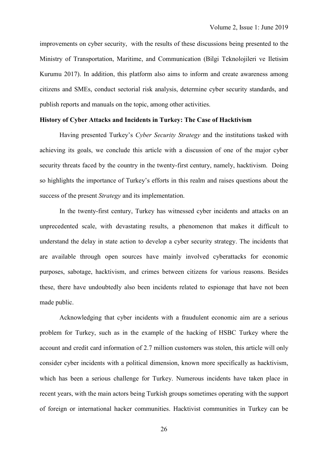improvements on cyber security, with the results of these discussions being presented to the Ministry of Transportation, Maritime, and Communication (Bilgi Teknolojileri ve Iletisim Kurumu 2017). In addition, this platform also aims to inform and create awareness among citizens and SMEs, conduct sectorial risk analysis, determine cyber security standards, and publish reports and manuals on the topic, among other activities.

## **History of Cyber Attacks and Incidents in Turkey: The Case of Hacktivism**

Having presented Turkey's *Cyber Security Strategy* and the institutions tasked with achieving its goals, we conclude this article with a discussion of one of the major cyber security threats faced by the country in the twenty-first century, namely, hacktivism. Doing so highlights the importance of Turkey's efforts in this realm and raises questions about the success of the present *Strategy* and its implementation.

In the twenty-first century, Turkey has witnessed cyber incidents and attacks on an unprecedented scale, with devastating results, a phenomenon that makes it difficult to understand the delay in state action to develop a cyber security strategy. The incidents that are available through open sources have mainly involved cyberattacks for economic purposes, sabotage, hacktivism, and crimes between citizens for various reasons. Besides these, there have undoubtedly also been incidents related to espionage that have not been made public.

Acknowledging that cyber incidents with a fraudulent economic aim are a serious problem for Turkey, such as in the example of the hacking of HSBC Turkey where the account and credit card information of 2.7 million customers was stolen, this article will only consider cyber incidents with a political dimension, known more specifically as hacktivism, which has been a serious challenge for Turkey. Numerous incidents have taken place in recent years, with the main actors being Turkish groups sometimes operating with the support of foreign or international hacker communities. Hacktivist communities in Turkey can be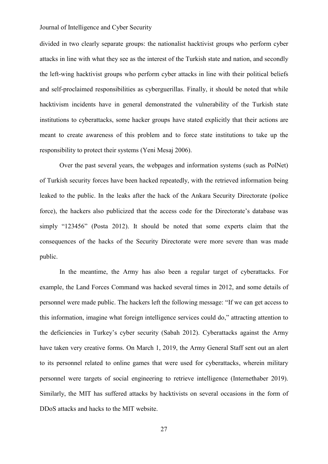divided in two clearly separate groups: the nationalist hacktivist groups who perform cyber attacks in line with what they see as the interest of the Turkish state and nation, and secondly the left-wing hacktivist groups who perform cyber attacks in line with their political beliefs and self-proclaimed responsibilities as cyberguerillas. Finally, it should be noted that while hacktivism incidents have in general demonstrated the vulnerability of the Turkish state institutions to cyberattacks, some hacker groups have stated explicitly that their actions are meant to create awareness of this problem and to force state institutions to take up the responsibility to protect their systems (Yeni Mesaj 2006).

Over the past several years, the webpages and information systems (such as PolNet) of Turkish security forces have been hacked repeatedly, with the retrieved information being leaked to the public. In the leaks after the hack of the Ankara Security Directorate (police force), the hackers also publicized that the access code for the Directorate's database was simply "123456" (Posta 2012). It should be noted that some experts claim that the consequences of the hacks of the Security Directorate were more severe than was made public.

In the meantime, the Army has also been a regular target of cyberattacks. For example, the Land Forces Command was hacked several times in 2012, and some details of personnel were made public. The hackers left the following message: "If we can get access to this information, imagine what foreign intelligence services could do," attracting attention to the deficiencies in Turkey's cyber security (Sabah 2012). Cyberattacks against the Army have taken very creative forms. On March 1, 2019, the Army General Staff sent out an alert to its personnel related to online games that were used for cyberattacks, wherein military personnel were targets of social engineering to retrieve intelligence (Internethaber 2019). Similarly, the MIT has suffered attacks by hacktivists on several occasions in the form of DDoS attacks and hacks to the MIT website.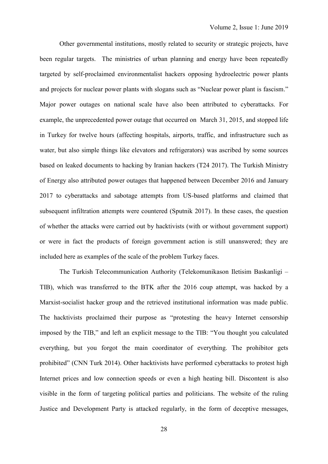Other governmental institutions, mostly related to security or strategic projects, have been regular targets. The ministries of urban planning and energy have been repeatedly targeted by self-proclaimed environmentalist hackers opposing hydroelectric power plants and projects for nuclear power plants with slogans such as "Nuclear power plant is fascism." Major power outages on national scale have also been attributed to cyberattacks. For example, the unprecedented power outage that occurred on March 31, 2015, and stopped life in Turkey for twelve hours (affecting hospitals, airports, traffic, and infrastructure such as water, but also simple things like elevators and refrigerators) was ascribed by some sources based on leaked documents to hacking by Iranian hackers (T24 2017). The Turkish Ministry of Energy also attributed power outages that happened between December 2016 and January 2017 to cyberattacks and sabotage attempts from US-based platforms and claimed that subsequent infiltration attempts were countered (Sputnik 2017). In these cases, the question of whether the attacks were carried out by hacktivists (with or without government support) or were in fact the products of foreign government action is still unanswered; they are included here as examples of the scale of the problem Turkey faces.

The Turkish Telecommunication Authority (Telekomunikason Iletisim Baskanligi – TIB), which was transferred to the BTK after the 2016 coup attempt, was hacked by a Marxist-socialist hacker group and the retrieved institutional information was made public. The hacktivists proclaimed their purpose as "protesting the heavy Internet censorship imposed by the TIB," and left an explicit message to the TIB: "You thought you calculated everything, but you forgot the main coordinator of everything. The prohibitor gets prohibited" (CNN Turk 2014). Other hacktivists have performed cyberattacks to protest high Internet prices and low connection speeds or even a high heating bill. Discontent is also visible in the form of targeting political parties and politicians. The website of the ruling Justice and Development Party is attacked regularly, in the form of deceptive messages,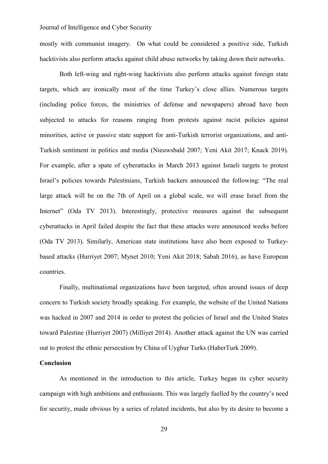mostly with communist imagery. On what could be considered a positive side, Turkish hacktivists also perform attacks against child abuse networks by taking down their networks.

Both left-wing and right-wing hacktivists also perform attacks against foreign state targets, which are ironically most of the time Turkey's close allies. Numerous targets (including police forces, the ministries of defense and newspapers) abroad have been subjected to attacks for reasons ranging from protests against racist policies against minorities, active or passive state support for anti-Turkish terrorist organizations, and anti-Turkish sentiment in politics and media (Nieuwsbald 2007; Yeni Akit 2017; Knack 2019). For example, after a spate of cyberattacks in March 2013 against Israeli targets to protest Israel's policies towards Palestinians, Turkish hackers announced the following: "The real large attack will be on the 7th of April on a global scale, we will erase Israel from the Internet" (Oda TV 2013). Interestingly, protective measures against the subsequent cyberattacks in April failed despite the fact that these attacks were announced weeks before (Oda TV 2013). Similarly, American state institutions have also been exposed to Turkeybased attacks (Hurriyet 2007; Mynet 2010; Yeni Akit 2018; Sabah 2016), as have European countries.

Finally, multinational organizations have been targeted, often around issues of deep concern to Turkish society broadly speaking. For example, the website of the United Nations was hacked in 2007 and 2014 in order to protest the policies of Israel and the United States toward Palestine (Hurriyet 2007) (Milliyet 2014). Another attack against the UN was carried out to protest the ethnic persecution by China of Uyghur Turks (HaberTurk 2009).

#### **Conclusion**

As mentioned in the introduction to this article, Turkey began its cyber security campaign with high ambitions and enthusiasm. This was largely fuelled by the country's need for security, made obvious by a series of related incidents, but also by its desire to become a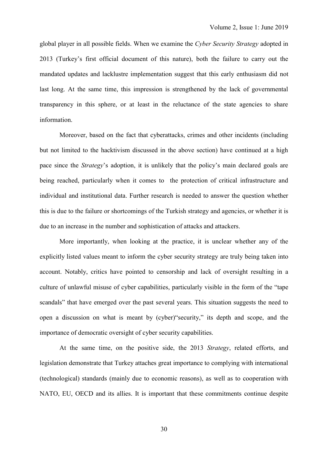global player in all possible fields. When we examine the *Cyber Security Strategy* adopted in 2013 (Turkey's first official document of this nature), both the failure to carry out the mandated updates and lacklustre implementation suggest that this early enthusiasm did not last long. At the same time, this impression is strengthened by the lack of governmental transparency in this sphere, or at least in the reluctance of the state agencies to share information.

Moreover, based on the fact that cyberattacks, crimes and other incidents (including but not limited to the hacktivism discussed in the above section) have continued at a high pace since the *Strategy*'s adoption, it is unlikely that the policy's main declared goals are being reached, particularly when it comes to the protection of critical infrastructure and individual and institutional data. Further research is needed to answer the question whether this is due to the failure or shortcomings of the Turkish strategy and agencies, or whether it is due to an increase in the number and sophistication of attacks and attackers.

More importantly, when looking at the practice, it is unclear whether any of the explicitly listed values meant to inform the cyber security strategy are truly being taken into account. Notably, critics have pointed to censorship and lack of oversight resulting in a culture of unlawful misuse of cyber capabilities, particularly visible in the form of the "tape scandals" that have emerged over the past several years. This situation suggests the need to open a discussion on what is meant by (cyber)"security," its depth and scope, and the importance of democratic oversight of cyber security capabilities.

At the same time, on the positive side, the 2013 *Strategy*, related efforts, and legislation demonstrate that Turkey attaches great importance to complying with international (technological) standards (mainly due to economic reasons), as well as to cooperation with NATO, EU, OECD and its allies. It is important that these commitments continue despite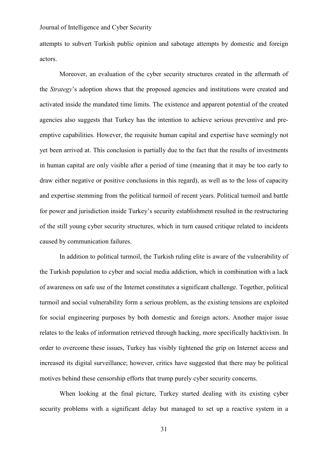attempts to subvert Turkish public opinion and sabotage attempts by domestic and foreign actors.

Moreover, an evaluation of the cyber security structures created in the aftermath of the *Strategy*'s adoption shows that the proposed agencies and institutions were created and activated inside the mandated time limits. The existence and apparent potential of the created agencies also suggests that Turkey has the intention to achieve serious preventive and preemptive capabilities. However, the requisite human capital and expertise have seemingly not yet been arrived at. This conclusion is partially due to the fact that the results of investments in human capital are only visible after a period of time (meaning that it may be too early to draw either negative or positive conclusions in this regard), as well as to the loss of capacity and expertise stemming from the political turmoil of recent years. Political turmoil and battle for power and jurisdiction inside Turkey's security establishment resulted in the restructuring of the still young cyber security structures, which in turn caused critique related to incidents caused by communication failures.

In addition to political turmoil, the Turkish ruling elite is aware of the vulnerability of the Turkish population to cyber and social media addiction, which in combination with a lack of awareness on safe use of the Internet constitutes a significant challenge. Together, political turmoil and social vulnerability form a serious problem, as the existing tensions are exploited for social engineering purposes by both domestic and foreign actors. Another major issue relates to the leaks of information retrieved through hacking, more specifically hacktivism. In order to overcome these issues, Turkey has visibly tightened the grip on Internet access and increased its digital surveillance; however, critics have suggested that there may be political motives behind these censorship efforts that trump purely cyber security concerns.

When looking at the final picture, Turkey started dealing with its existing cyber security problems with a significant delay but managed to set up a reactive system in a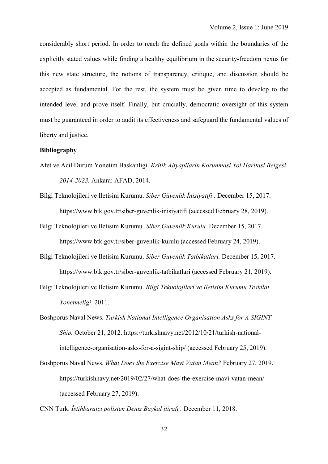considerably short period. In order to reach the defined goals within the boundaries of the explicitly stated values while finding a healthy equilibrium in the security-freedom nexus for this new state structure, the notions of transparency, critique, and discussion should be accepted as fundamental. For the rest, the system must be given time to develop to the intended level and prove itself. Finally, but crucially, democratic oversight of this system must be guaranteed in order to audit its effectiveness and safeguard the fundamental values of liberty and justice.

#### **Bibliography**

- Afet ve Acil Durum Yonetim Baskanligi. *Kritik Altyapilarin Korunmasi Yol Haritasi Belgesi 2014-2023.* Ankara: AFAD, 2014.
- Bilgi Teknolojileri ve Iletisim Kurumu. *Siber Güvenlik İnisiyatifi .* December 15, 2017. https://www.btk.gov.tr/siber-guvenlik-inisiyatifi (accessed February 28, 2019).
- Bilgi Teknolojileri ve Iletisim Kurumu. *Siber Guvenlik Kurulu.* December 15, 2017. https://www.btk.gov.tr/siber-guvenlik-kurulu (accessed February 24, 2019).
- Bilgi Teknolojileri ve Iletisim Kurumu. *Siber Guvenlik Tatbikatlari.* December 15, 2017. https://www.btk.gov.tr/siber-guvenlik-tatbikatlari (accessed February 21, 2019).
- Bilgi Teknolojileri ve Iletisim Kurumu. *Bilgi Teknolojileri ve Iletisim Kurumu Teskilat Yonetmeligi*. 2011.
- Boshporus Naval News. *Turkish National Intelligence Organisation Asks for A SIGINT Ship.* October 21, 2012. https://turkishnavy.net/2012/10/21/turkish-nationalintelligence-organisation-asks-for-a-sigint-ship/ (accessed February 25, 2019).
- Boshporus Naval News. *What Does the Exercise Mavi Vatan Mean?* February 27, 2019. https://turkishnavy.net/2019/02/27/what-does-the-exercise-mavi-vatan-mean/ (accessed February 27, 2019).

CNN Turk. *İstihbaratçı polisten Deniz Baykal itirafı .* December 11, 2018.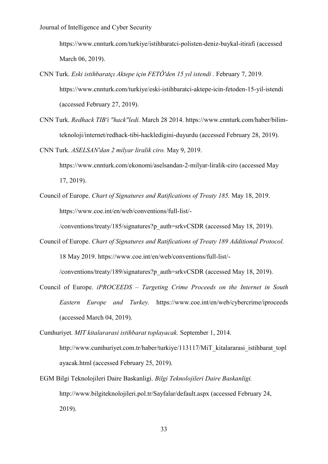https://www.cnnturk.com/turkiye/istihbaratci-polisten-deniz-baykal-itirafi (accessed March 06, 2019).

- CNN Turk. *Eski istihbaratçı Aktepe için FETÖ'den 15 yıl istendi .* February 7, 2019. https://www.cnnturk.com/turkiye/eski-istihbaratci-aktepe-icin-fetoden-15-yil-istendi (accessed February 27, 2019).
- CNN Turk. *Redhack TIB'i "hack"ledi.* March 28 2014. https://www.cnnturk.com/haber/bilimteknoloji/internet/redhack-tibi-hackledigini-duyurdu (accessed February 28, 2019).

CNN Turk. *ASELSAN'dan 2 milyar liralik ciro.* May 9, 2019.

https://www.cnnturk.com/ekonomi/aselsandan-2-milyar-liralik-ciro (accessed May 17, 2019).

Council of Europe. *Chart of Signatures and Ratifications of Treaty 185.* May 18, 2019. https://www.coe.int/en/web/conventions/full-list/-

/conventions/treaty/185/signatures?p\_auth=srkvCSDR (accessed May 18, 2019).

Council of Europe. *Chart of Signatures and Ratifications of Treaty 189 Additional Protocol.* 18 May 2019. https://www.coe.int/en/web/conventions/full-list/-

/conventions/treaty/189/signatures?p\_auth=srkvCSDR (accessed May 18, 2019).

- Council of Europe. *iPROCEEDS – Targeting Crime Proceeds on the Internet in South Eastern Europe and Turkey.* https://www.coe.int/en/web/cybercrime/iproceeds (accessed March 04, 2019).
- Cumhuriyet. *MIT kitalararasi istihbarat toplayacak.* September 1, 2014. http://www.cumhurivet.com.tr/haber/turkiye/113117/MiT\_kitalararasi\_istihbarat\_topl ayacak.html (accessed February 25, 2019).
- EGM Bilgi Teknolojileri Daire Baskanligi. *Bilgi Teknolojileri Daire Baskanligi.* http://www.bilgiteknolojileri.pol.tr/Sayfalar/default.aspx (accessed February 24, 2019).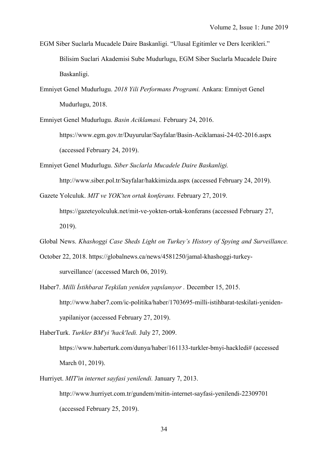- EGM Siber Suclarla Mucadele Daire Baskanligi. "Ulusal Egitimler ve Ders Icerikleri." Bilisim Suclari Akademisi Sube Mudurlugu, EGM Siber Suclarla Mucadele Daire Baskanligi.
- Emniyet Genel Mudurlugu. *2018 Yili Performans Programi.* Ankara: Emniyet Genel Mudurlugu, 2018.

Emniyet Genel Mudurlugu. *Basin Aciklamasi.* February 24, 2016. https://www.egm.gov.tr/Duyurular/Sayfalar/Basin-Aciklamasi-24-02-2016.aspx (accessed February 24, 2019).

Emniyet Genel Mudurlugu. *Siber Suclarla Mucadele Daire Baskanligi.* http://www.siber.pol.tr/Sayfalar/hakkimizda.aspx (accessed February 24, 2019).

Gazete Yolculuk. *MIT ve YOK'ten ortak konferans.* February 27, 2019.

https://gazeteyolculuk.net/mit-ve-yokten-ortak-konferans (accessed February 27, 2019).

Global News. *Khashoggi Case Sheds Light on Turkey's History of Spying and Surveillance.*

- October 22, 2018. https://globalnews.ca/news/4581250/jamal-khashoggi-turkeysurveillance/ (accessed March 06, 2019).
- Haber7. *Milli İstihbarat Teşkilatı yeniden yapılanıyor .* December 15, 2015. http://www.haber7.com/ic-politika/haber/1703695-milli-istihbarat-teskilati-yenidenyapilaniyor (accessed February 27, 2019).

HaberTurk. *Turkler BM'yi 'hack'ledi.* July 27, 2009.

https://www.haberturk.com/dunya/haber/161133-turkler-bmyi-hackledi# (accessed March 01, 2019).

Hurriyet. *MIT'in internet sayfasi yenilendi.* January 7, 2013. http://www.hurriyet.com.tr/gundem/mitin-internet-sayfasi-yenilendi-22309701 (accessed February 25, 2019).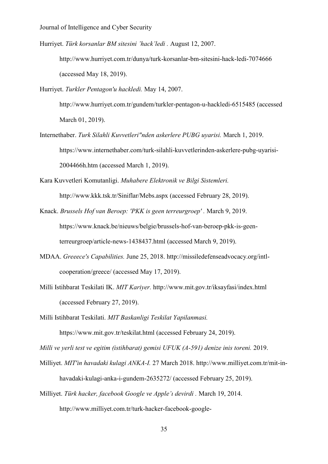Hurriyet. *Türk korsanlar BM sitesini 'hack'ledi .* August 12, 2007.

http://www.hurriyet.com.tr/dunya/turk-korsanlar-bm-sitesini-hack-ledi-7074666 (accessed May 18, 2019).

Hurriyet. *Turkler Pentagon'u hackledi.* May 14, 2007.

http://www.hurriyet.com.tr/gundem/turkler-pentagon-u-hackledi-6515485 (accessed March 01, 2019).

- Internethaber. *Turk Silahli Kuvvetleri"nden askerlere PUBG uyarisi.* March 1, 2019. https://www.internethaber.com/turk-silahli-kuvvetlerinden-askerlere-pubg-uyarisi-2004466h.htm (accessed March 1, 2019).
- Kara Kuvvetleri Komutanligi. *Muhabere Elektronik ve Bilgi Sistemleri.* http://www.kkk.tsk.tr/Siniflar/Mebs.aspx (accessed February 28, 2019).
- Knack. *Brussels Hof van Beroep: 'PKK is geen terreurgroep' .* March 9, 2019. https://www.knack.be/nieuws/belgie/brussels-hof-van-beroep-pkk-is-geenterreurgroep/article-news-1438437.html (accessed March 9, 2019).
- MDAA. *Greeece's Capabilities.* June 25, 2018. http://missiledefenseadvocacy.org/intlcooperation/greece/ (accessed May 17, 2019).
- Milli Istihbarat Teskilati IK. *MIT Kariyer.* http://www.mit.gov.tr/iksayfasi/index.html (accessed February 27, 2019).

Milli Istihbarat Teskilati. *MIT Baskanligi Teskilat Yapilanmasi.* https://www.mit.gov.tr/teskilat.html (accessed February 24, 2019).

*Milli ve yerli test ve egitim (istihbarat) gemisi UFUK (A-591) denize inis toreni.* 2019.

- Milliyet. *MIT'in havadaki kulagi ANKA-I.* 27 March 2018. http://www.milliyet.com.tr/mit-inhavadaki-kulagi-anka-i-gundem-2635272/ (accessed February 25, 2019).
- Milliyet. *Türk hacker, facebook Google ve Apple'ı devirdi .* March 19, 2014. http://www.milliyet.com.tr/turk-hacker-facebook-google-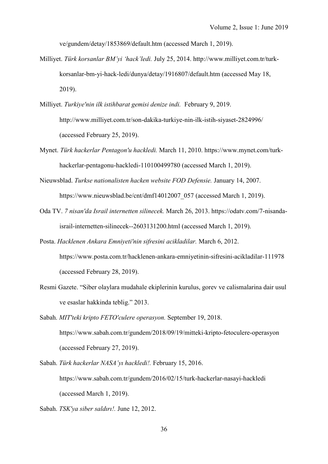ve/gundem/detay/1853869/default.htm (accessed March 1, 2019).

- Milliyet. *Türk korsanlar BM'yi 'hack'ledi.* July 25, 2014. http://www.milliyet.com.tr/turkkorsanlar-bm-yi-hack-ledi/dunya/detay/1916807/default.htm (accessed May 18, 2019).
- Milliyet. *Turkiye'nin ilk istihbarat gemisi denize indi.* February 9, 2019. http://www.milliyet.com.tr/son-dakika-turkiye-nin-ilk-istih-siyaset-2824996/ (accessed February 25, 2019).
- Mynet. *Türk hackerlar Pentagon'u hackledi.* March 11, 2010. https://www.mynet.com/turkhackerlar-pentagonu-hackledi-110100499780 (accessed March 1, 2019).
- Nieuwsblad. *Turkse nationalisten hacken website FOD Defensie.* January 14, 2007. https://www.nieuwsblad.be/cnt/dmf14012007\_057 (accessed March 1, 2019).
- Oda TV. *7 nisan'da Israil internetten silinecek.* March 26, 2013. https://odatv.com/7-nisandaisrail-internetten-silinecek--2603131200.html (accessed March 1, 2019).
- Posta. *Hacklenen Ankara Emniyeti'nin sifresini acikladilar.* March 6, 2012. https://www.posta.com.tr/hacklenen-ankara-emniyetinin-sifresini-acikladilar-111978 (accessed February 28, 2019).
- Resmi Gazete. "Siber olaylara mudahale ekiplerinin kurulus, gorev ve calismalarina dair usul ve esaslar hakkinda teblig." 2013.
- Sabah. *MIT'teki kripto FETO'culere operasyon.* September 19, 2018. https://www.sabah.com.tr/gundem/2018/09/19/mitteki-kripto-fetoculere-operasyon (accessed February 27, 2019).
- Sabah. *Türk hackerlar NASA'yı hackledi!.* February 15, 2016. https://www.sabah.com.tr/gundem/2016/02/15/turk-hackerlar-nasayi-hackledi (accessed March 1, 2019).
- Sabah. *TSK'ya siber saldırı!.* June 12, 2012.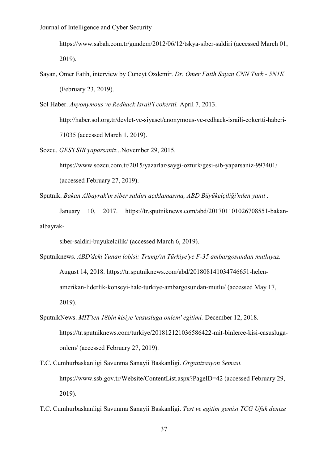https://www.sabah.com.tr/gundem/2012/06/12/tskya-siber-saldiri (accessed March 01, 2019).

- Sayan, Omer Fatih, interview by Cuneyt Ozdemir. *Dr. Omer Fatih Sayan CNN Turk - 5N1K* (February 23, 2019).
- Sol Haber. *Anyonymous ve Redhack Israil'i cokertti.* April 7, 2013.

http://haber.sol.org.tr/devlet-ve-siyaset/anonymous-ve-redhack-israili-cokertti-haberi-71035 (accessed March 1, 2019).

Sozcu. *GES'i SIB yaparsaniz...*November 29, 2015.

https://www.sozcu.com.tr/2015/yazarlar/saygi-ozturk/gesi-sib-yaparsaniz-997401/ (accessed February 27, 2019).

Sputnik. *Bakan Albayrak'ın siber saldırı açıklamasına, ABD Büyükelçiliği'nden yanıt .*

January 10, 2017. https://tr.sputniknews.com/abd/201701101026708551-bakanalbayrak-

siber-saldiri-buyukelcilik/ (accessed March 6, 2019).

- Sputniknews. *ABD'deki Yunan lobisi: Trump'ın Türkiye'ye F-35 ambargosundan mutluyuz.* August 14, 2018. https://tr.sputniknews.com/abd/201808141034746651-helenamerikan-liderlik-konseyi-halc-turkiye-ambargosundan-mutlu/ (accessed May 17, 2019).
- SputnikNews. *MIT'ten 18bin kisiye 'casusluga onlem' egitimi.* December 12, 2018. https://tr.sputniknews.com/turkiye/201812121036586422-mit-binlerce-kisi-casuslugaonlem/ (accessed February 27, 2019).
- T.C. Cumhurbaskanligi Savunma Sanayii Baskanligi. *Organizasyon Semasi.* https://www.ssb.gov.tr/Website/ContentList.aspx?PageID=42 (accessed February 29, 2019).
- T.C. Cumhurbaskanligi Savunma Sanayii Baskanligi. *Test ve egitim gemisi TCG Ufuk denize*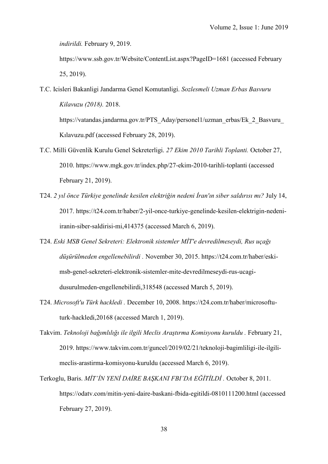*indirildi.* February 9, 2019.

https://www.ssb.gov.tr/Website/ContentList.aspx?PageID=1681 (accessed February 25, 2019).

T.C. Icisleri Bakanligi Jandarma Genel Komutanligi. *Sozlesmeli Uzman Erbas Basvuru Kilavuzu (2018).* 2018.

https://vatandas.jandarma.gov.tr/PTS\_Aday/personel1/uzman\_erbas/Ek\_2\_Basvuru\_ Kılavuzu.pdf (accessed February 28, 2019).

- T.C. Milli Güvenlik Kurulu Genel Sekreterligi. *27 Ekim 2010 Tarihli Toplanti.* October 27, 2010. https://www.mgk.gov.tr/index.php/27-ekim-2010-tarihli-toplanti (accessed February 21, 2019).
- T24. *2 yıl önce Türkiye genelinde kesilen elektriğin nedeni İran'ın siber saldırısı mı?* July 14, 2017. https://t24.com.tr/haber/2-yil-once-turkiye-genelinde-kesilen-elektrigin-nedeniiranin-siber-saldirisi-mi,414375 (accessed March 6, 2019).
- T24. *Eski MSB Genel Sekreteri: Elektronik sistemler MİT'e devredilmeseydi, Rus uçağı düşürülmeden engellenebilirdi .* November 30, 2015. https://t24.com.tr/haber/eskimsb-genel-sekreteri-elektronik-sistemler-mite-devredilmeseydi-rus-ucagidusurulmeden-engellenebilirdi,318548 (accessed March 5, 2019).
- T24. *Microsoft'u Türk hackledi .* December 10, 2008. https://t24.com.tr/haber/microsoftuturk-hackledi,20168 (accessed March 1, 2019).
- Takvim. *Teknoloji bağımlılığı ile ilgili Meclis Araştırma Komisyonu kuruldu .* February 21, 2019. https://www.takvim.com.tr/guncel/2019/02/21/teknoloji-bagimliligi-ile-ilgilimeclis-arastirma-komisyonu-kuruldu (accessed March 6, 2019).
- Terkoglu, Baris. *MİT'İN YENİ DAİRE BAŞKANI FBI'DA EĞİTİLDİ .* October 8, 2011. https://odatv.com/mitin-yeni-daire-baskani-fbida-egitildi-0810111200.html (accessed February 27, 2019).